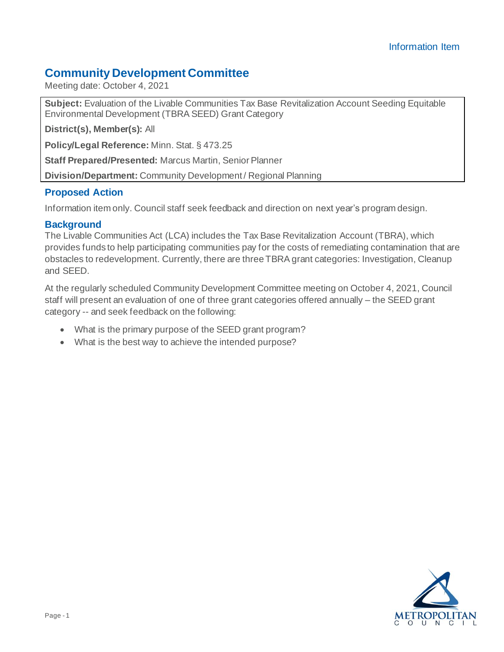## **Community Development Committee**

Meeting date: October 4, 2021

**Subject:** Evaluation of the Livable Communities Tax Base Revitalization Account Seeding Equitable Environmental Development (TBRA SEED) Grant Category

**District(s), Member(s):** All

**Policy/Legal Reference:** Minn. Stat. § 473.25

**Staff Prepared/Presented:** Marcus Martin, Senior Planner

**Division/Department:** Community Development / Regional Planning

### **Proposed Action**

Information item only. Council staff seek feedback and direction on next year's program design.

### **Background**

The Livable Communities Act (LCA) includes the Tax Base Revitalization Account (TBRA), which provides funds to help participating communities pay for the costs of remediating contamination that are obstacles to redevelopment. Currently, there are three TBRA grant categories: Investigation, Cleanup and SEED.

At the regularly scheduled Community Development Committee meeting on October 4, 2021, Council staff will present an evaluation of one of three grant categories offered annually – the SEED grant category -- and seek feedback on the following:

- What is the primary purpose of the SEED grant program?
- What is the best way to achieve the intended purpose?

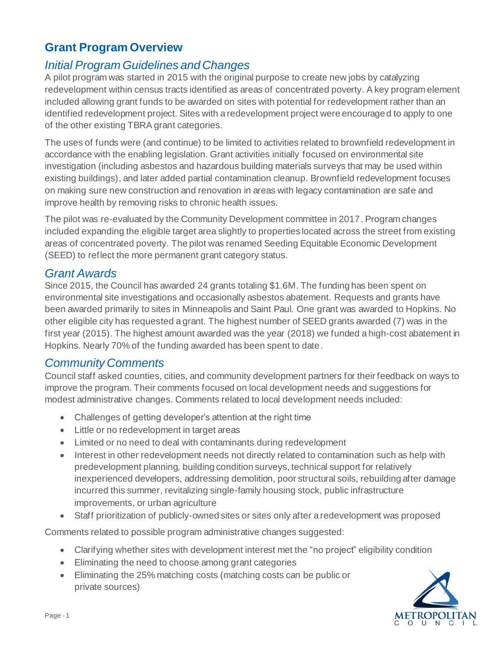# **Grant Program Overview**

# *Initial Program Guidelines and Changes*

A pilot program was started in 2015 with the original purpose to create new jobs by catalyzing redevelopment within census tracts identified as areas of concentrated poverty. A key program element included allowing grant funds to be awarded on sites with potential for redevelopment rather than an identified redevelopment project. Sites with a redevelopment project were encouraged to apply to one of the other existing TBRA grant categories.

The uses of funds were (and continue) to be limited to activities related to brownfield redevelopment in accordance with the enabling legislation. Grant activities initially focused on environmental site investigation (including asbestos and hazardous building materials surveys that may be used within existing buildings), and later added partial contamination cleanup. Brownfield redevelopment focuses on making sure new construction and renovation in areas with legacy contamination are safe and improve health by removing risks to chronic health issues.

The pilot was re-evaluated by the Community Development committee in 2017. Program changes included expanding the eligible target area slightly to properties located across the street from existing areas of concentrated poverty. The pilot was renamed Seeding Equitable Economic Development (SEED) to reflect the more permanent grant category status.

### *Grant Awards*

Since 2015, the Council has awarded 24 grants totaling \$1.6M. The funding has been spent on environmental site investigations and occasionally asbestos abatement. Requests and grants have been awarded primarily to sites in Minneapolis and Saint Paul. One grant was awarded to Hopkins. No other eligible city has requested a grant. The highest number of SEED grants awarded (7) was in the first year (2015). The highest amount awarded was the year (2018) we funded a high-cost abatement in Hopkins. Nearly 70% of the funding awarded has been spent to date.

## *Community Comments*

Council staff asked counties, cities, and community development partners for their feedback on ways to improve the program. Their comments focused on local development needs and suggestions for modest administrative changes. Comments related to local development needs included:

- Challenges of getting developer's attention at the right time
- Little or no redevelopment in target areas
- Limited or no need to deal with contaminants during redevelopment
- Interest in other redevelopment needs not directly related to contamination such as help with predevelopment planning, building condition surveys, technical support for relatively inexperienced developers, addressing demolition, poor structural soils, rebuilding after damage incurred this summer, revitalizing single-family housing stock, public infrastructure improvements, or urban agriculture
- Staff prioritization of publicly-owned sites or sites only after a redevelopment was proposed

Comments related to possible program administrative changes suggested:

- Clarifying whether sites with development interest met the "no project" eligibility condition
- Eliminating the need to choose among grant categories
- Eliminating the 25% matching costs (matching costs can be public or private sources)

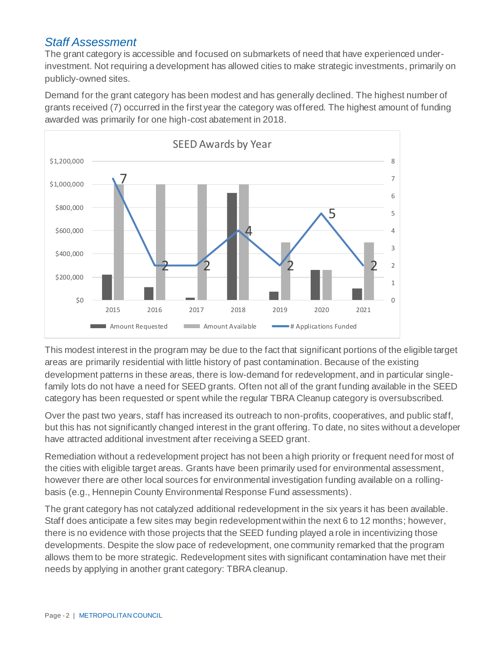## *Staff Assessment*

The grant category is accessible and focused on submarkets of need that have experienced underinvestment. Not requiring a development has allowed cities to make strategic investments, primarily on publicly-owned sites.

Demand for the grant category has been modest and has generally declined. The highest number of grants received (7) occurred in the first year the category was offered. The highest amount of funding awarded was primarily for one high-cost abatement in 2018.



This modest interest in the program may be due to the fact that significant portions of the eligible target areas are primarily residential with little history of past contamination. Because of the existing development patterns in these areas, there is low-demand for redevelopment, and in particular singlefamily lots do not have a need for SEED grants. Often not all of the grant funding available in the SEED category has been requested or spent while the regular TBRA Cleanup category is oversubscribed.

Over the past two years, staff has increased its outreach to non-profits, cooperatives, and public staff, but this has not significantly changed interest in the grant offering. To date, no sites without a developer have attracted additional investment after receiving a SEED grant.

Remediation without a redevelopment project has not been a high priority or frequent need for most of the cities with eligible target areas. Grants have been primarily used for environmental assessment, however there are other local sources for environmental investigation funding available on a rollingbasis (e.g., Hennepin County Environmental Response Fund assessments).

The grant category has not catalyzed additional redevelopment in the six years it has been available. Staff does anticipate a few sites may begin redevelopment within the next 6 to 12 months; however, there is no evidence with those projects that the SEED funding played a role in incentivizing those developments. Despite the slow pace of redevelopment, one community remarked that the program allows them to be more strategic. Redevelopment sites with significant contamination have met their needs by applying in another grant category: TBRA cleanup.